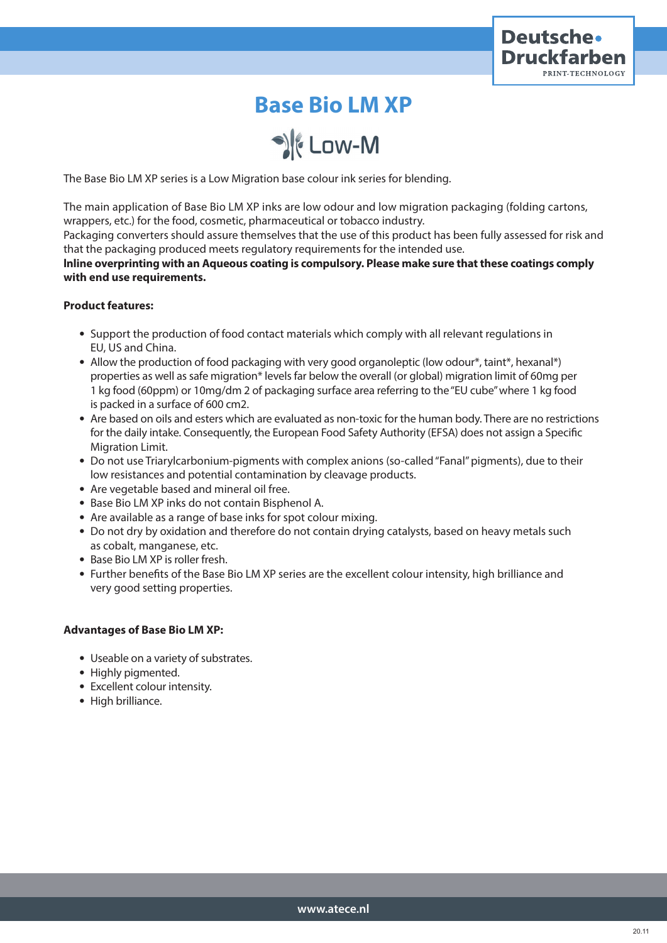

# **Base Bio LM XP**

SE Low-M

The Base Bio LM XP series is a Low Migration base colour ink series for blending.

The main application of Base Bio LM XP inks are low odour and low migration packaging (folding cartons, wrappers, etc.) for the food, cosmetic, pharmaceutical or tobacco industry.

Packaging converters should assure themselves that the use of this product has been fully assessed for risk and that the packaging produced meets regulatory requirements for the intended use.

**lnline overprinting with an Aqueous coating is compulsory. Please make sure that these coatings comply with end use requirements.**

## **Product features:**

- Support the production of food contact materials which comply with all relevant regulations in EU, US and China.
- Allow the production of food packaging with very good organoleptic (low odour\*, taint\*, hexanal\*) properties as well as safe migration\* levels far below the overall (or global) migration limit of 60mg per 1 kg food (60ppm) or 10mg/dm 2 of packaging surface area referring to the "EU cube" where 1 kg food is packed in a surface of 600 cm2.
- Are based on oils and esters which are evaluated as non-toxic for the human body. There are no restrictions for the daily intake. Consequently, the European Food Safety Authority (EFSA) does not assign a Specific Migration Limit.
- Do not use Triarylcarbonium-pigments with complex anions (so-called "Fanal" pigments), due to their low resistances and potential contamination by cleavage products.
- Are vegetable based and mineral oil free.
- Base Bio LM XP inks do not contain Bisphenol A.
- Are available as a range of base inks for spot colour mixing.
- Do not dry by oxidation and therefore do not contain drying catalysts, based on heavy metals such as cobalt, manganese, etc.
- Base Bio LM XP is roller fresh.
- Further benefits of the Base Bio LM XP series are the excellent colour intensity, high brilliance and very good setting properties.

## **Advantages of Base Bio LM XP:**

- Useable on a variety of substrates.
- Highly pigmented.
- Excellent colour intensity.
- High brilliance.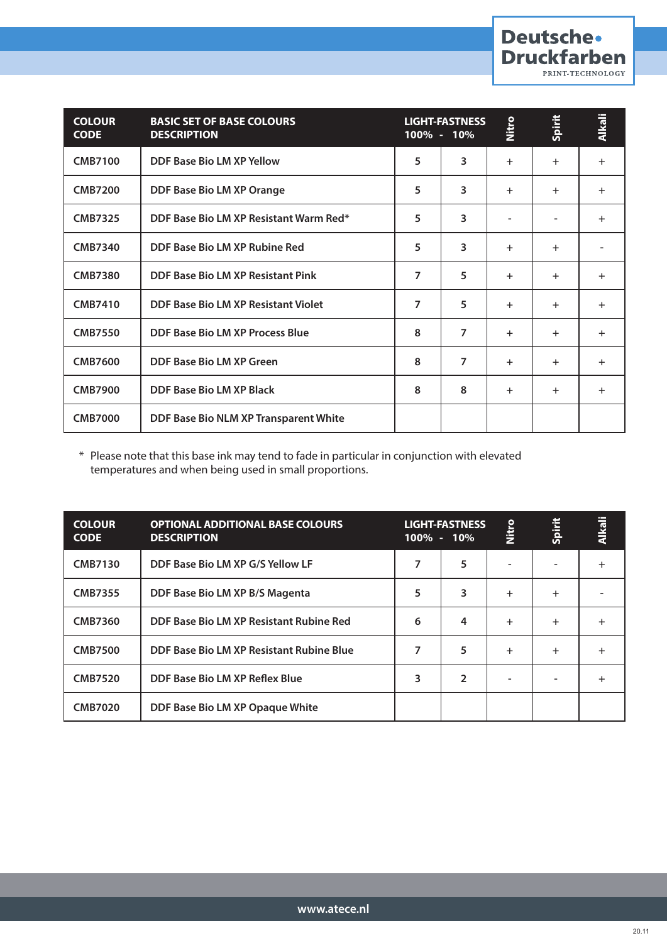| <b>COLOUR</b><br><b>CODE</b> | <b>BASIC SET OF BASE COLOURS</b><br><b>DESCRIPTION</b> | 100% - 10% | <b>LIGHT-FASTNESS</b> | Nitro     | Spirit | <b>Alkali</b> |
|------------------------------|--------------------------------------------------------|------------|-----------------------|-----------|--------|---------------|
| <b>CMB7100</b>               | DDF Base Bio LM XP Yellow                              | 5          | 3                     | $\ddot{}$ | $+$    | $+$           |
| <b>CMB7200</b>               | DDF Base Bio LM XP Orange                              | 5          | 3                     | $+$       | $+$    | $\ddot{}$     |
| <b>CMB7325</b>               | DDF Base Bio LM XP Resistant Warm Red*                 | 5          | 3                     |           |        | $\ddot{}$     |
| <b>CMB7340</b>               | DDF Base Bio LM XP Rubine Red                          | 5          | 3                     | $\ddot{}$ | $+$    |               |
| <b>CMB7380</b>               | DDF Base Bio LM XP Resistant Pink                      | 7          | 5                     | $+$       | $+$    | $\ddot{}$     |
| <b>CMB7410</b>               | DDF Base Bio LM XP Resistant Violet                    | 7          | 5                     | $\ddot{}$ | $+$    | $+$           |
| <b>CMB7550</b>               | DDF Base Bio LM XP Process Blue                        | 8          | 7                     | $\pm$     | $+$    | $\ddot{}$     |
| <b>CMB7600</b>               | DDF Base Bio LM XP Green                               | 8          | 7                     | $+$       | $+$    | $+$           |
| <b>CMB7900</b>               | <b>DDF Base Bio LM XP Black</b>                        | 8          | 8                     | $+$       | $+$    | $+$           |
| <b>CMB7000</b>               | DDF Base Bio NLM XP Transparent White                  |            |                       |           |        |               |

Deutsche.

**Druckfarben** 

PRINT-TECHNOLOGY

\* Please note that this base ink may tend to fade in particular in conjunction with elevated temperatures and when being used in small proportions.

| <b>COLOUR</b><br><b>CODE</b> | <b>OPTIONAL ADDITIONAL BASE COLOURS</b><br><b>DESCRIPTION</b> |   | <b>LIGHT-FASTNESS</b><br>$100\% - 10\%$ | Nitro     | Spirit    | <b>Alkali</b> |
|------------------------------|---------------------------------------------------------------|---|-----------------------------------------|-----------|-----------|---------------|
| <b>CMB7130</b>               | DDF Base Bio LM XP G/S Yellow LF                              | 7 | 5                                       |           |           |               |
| <b>CMB7355</b>               | DDF Base Bio LM XP B/S Magenta                                | 5 | 3                                       | $\ddot{}$ | $\ddot{}$ |               |
| <b>CMB7360</b>               | DDF Base Bio LM XP Resistant Rubine Red                       | 6 | $\overline{4}$                          | $\ddot{}$ | $+$       |               |
| <b>CMB7500</b>               | DDF Base Bio LM XP Resistant Rubine Blue                      |   | 5                                       | $\ddot{}$ | $+$       |               |
| <b>CMB7520</b>               | DDF Base Bio LM XP Reflex Blue                                | 3 | $\overline{2}$                          |           |           |               |
| <b>CMB7020</b>               | DDF Base Bio LM XP Opaque White                               |   |                                         |           |           |               |